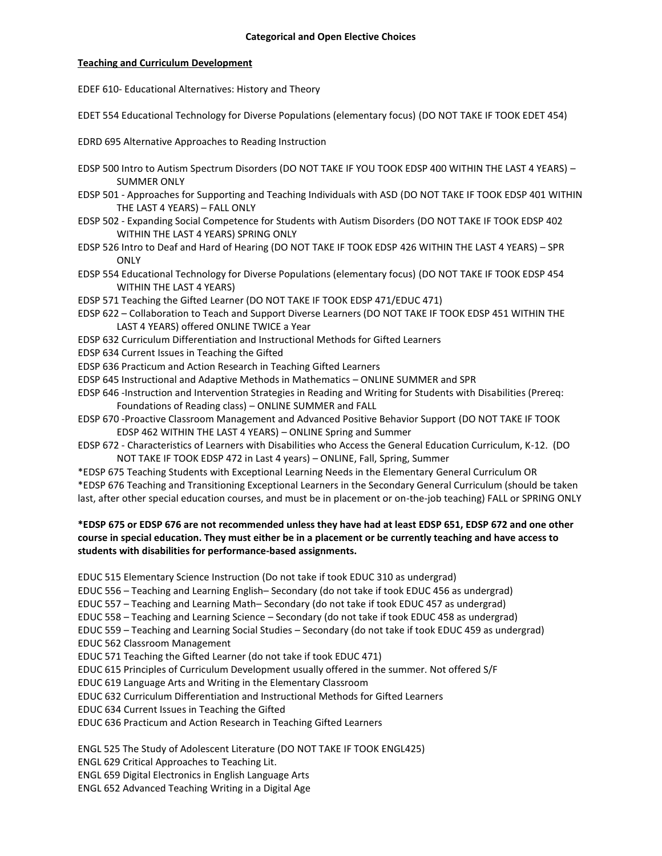### **Teaching and Curriculum Development**

EDEF 610- Educational Alternatives: History and Theory

EDET 554 Educational Technology for Diverse Populations (elementary focus) (DO NOT TAKE IF TOOK EDET 454)

EDRD 695 Alternative Approaches to Reading Instruction

- EDSP 500 Intro to Autism Spectrum Disorders (DO NOT TAKE IF YOU TOOK EDSP 400 WITHIN THE LAST 4 YEARS) SUMMER ONLY
- EDSP 501 Approaches for Supporting and Teaching Individuals with ASD (DO NOT TAKE IF TOOK EDSP 401 WITHIN THE LAST 4 YEARS) – FALL ONLY
- EDSP 502 Expanding Social Competence for Students with Autism Disorders (DO NOT TAKE IF TOOK EDSP 402 WITHIN THE LAST 4 YEARS) SPRING ONLY
- EDSP 526 Intro to Deaf and Hard of Hearing (DO NOT TAKE IF TOOK EDSP 426 WITHIN THE LAST 4 YEARS) SPR **ONLY**
- EDSP 554 Educational Technology for Diverse Populations (elementary focus) (DO NOT TAKE IF TOOK EDSP 454 WITHIN THE LAST 4 YEARS)
- EDSP 571 Teaching the Gifted Learner (DO NOT TAKE IF TOOK EDSP 471/EDUC 471)
- EDSP 622 Collaboration to Teach and Support Diverse Learners (DO NOT TAKE IF TOOK EDSP 451 WITHIN THE LAST 4 YEARS) offered ONLINE TWICE a Year
- EDSP 632 Curriculum Differentiation and Instructional Methods for Gifted Learners
- EDSP 634 Current Issues in Teaching the Gifted
- EDSP 636 Practicum and Action Research in Teaching Gifted Learners
- EDSP 645 Instructional and Adaptive Methods in Mathematics ONLINE SUMMER and SPR
- EDSP 646 -Instruction and Intervention Strategies in Reading and Writing for Students with Disabilities (Prereq: Foundations of Reading class) – ONLINE SUMMER and FALL
- EDSP 670 -Proactive Classroom Management and Advanced Positive Behavior Support (DO NOT TAKE IF TOOK EDSP 462 WITHIN THE LAST 4 YEARS) – ONLINE Spring and Summer
- EDSP 672 Characteristics of Learners with Disabilities who Access the General Education Curriculum, K-12. (DO NOT TAKE IF TOOK EDSP 472 in Last 4 years) – ONLINE, Fall, Spring, Summer

\*EDSP 675 Teaching Students with Exceptional Learning Needs in the Elementary General Curriculum OR \*EDSP 676 Teaching and Transitioning Exceptional Learners in the Secondary General Curriculum (should be taken last, after other special education courses, and must be in placement or on-the-job teaching) FALL or SPRING ONLY

## **\*EDSP 675 or EDSP 676 are not recommended unless they have had at least EDSP 651, EDSP 672 and one other course in special education. They must either be in a placement or be currently teaching and have access to students with disabilities for performance-based assignments.**

EDUC 515 Elementary Science Instruction (Do not take if took EDUC 310 as undergrad)

EDUC 556 – Teaching and Learning English– Secondary (do not take if took EDUC 456 as undergrad)

EDUC 557 – Teaching and Learning Math– Secondary (do not take if took EDUC 457 as undergrad)

- EDUC 558 Teaching and Learning Science Secondary (do not take if took EDUC 458 as undergrad)
- EDUC 559 Teaching and Learning Social Studies Secondary (do not take if took EDUC 459 as undergrad)
- EDUC 562 Classroom Management
- EDUC 571 Teaching the Gifted Learner (do not take if took EDUC 471)
- EDUC 615 Principles of Curriculum Development usually offered in the summer. Not offered S/F
- EDUC 619 Language Arts and Writing in the Elementary Classroom
- EDUC 632 Curriculum Differentiation and Instructional Methods for Gifted Learners
- EDUC 634 Current Issues in Teaching the Gifted
- EDUC 636 Practicum and Action Research in Teaching Gifted Learners

ENGL 525 The Study of Adolescent Literature (DO NOT TAKE IF TOOK ENGL425)

ENGL 629 Critical Approaches to Teaching Lit.

ENGL 659 Digital Electronics in English Language Arts

ENGL 652 Advanced Teaching Writing in a Digital Age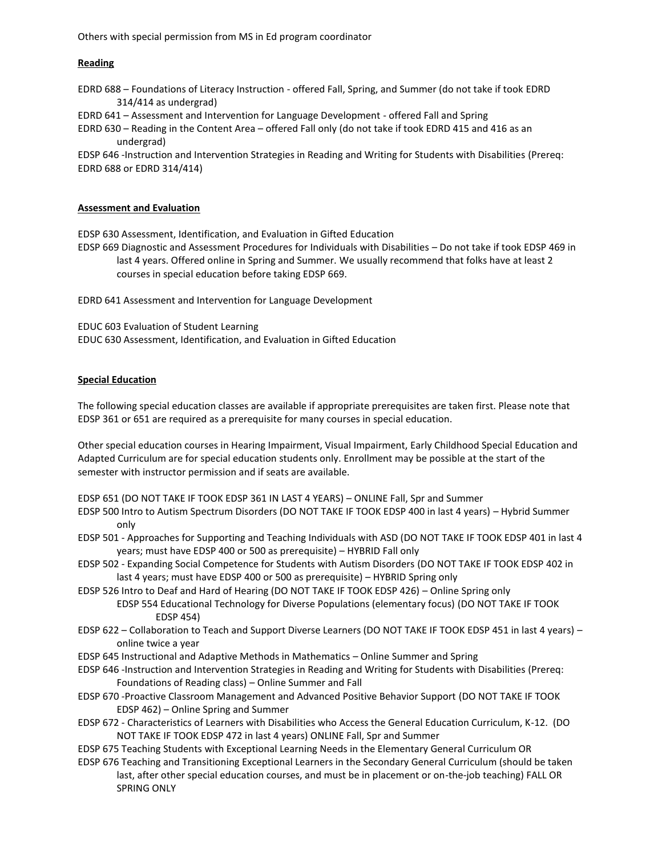Others with special permission from MS in Ed program coordinator

### **Reading**

EDRD 688 – Foundations of Literacy Instruction - offered Fall, Spring, and Summer (do not take if took EDRD 314/414 as undergrad)

EDRD 641 – Assessment and Intervention for Language Development - offered Fall and Spring

EDRD 630 – Reading in the Content Area – offered Fall only (do not take if took EDRD 415 and 416 as an undergrad)

EDSP 646 -Instruction and Intervention Strategies in Reading and Writing for Students with Disabilities (Prereq: EDRD 688 or EDRD 314/414)

#### **Assessment and Evaluation**

EDSP 630 Assessment, Identification, and Evaluation in Gifted Education

EDSP 669 Diagnostic and Assessment Procedures for Individuals with Disabilities – Do not take if took EDSP 469 in last 4 years. Offered online in Spring and Summer. We usually recommend that folks have at least 2 courses in special education before taking EDSP 669.

EDRD 641 Assessment and Intervention for Language Development

EDUC 603 Evaluation of Student Learning

EDUC 630 Assessment, Identification, and Evaluation in Gifted Education

#### **Special Education**

The following special education classes are available if appropriate prerequisites are taken first. Please note that EDSP 361 or 651 are required as a prerequisite for many courses in special education.

Other special education courses in Hearing Impairment, Visual Impairment, Early Childhood Special Education and Adapted Curriculum are for special education students only. Enrollment may be possible at the start of the semester with instructor permission and if seats are available.

EDSP 651 (DO NOT TAKE IF TOOK EDSP 361 IN LAST 4 YEARS) – ONLINE Fall, Spr and Summer

- EDSP 500 Intro to Autism Spectrum Disorders (DO NOT TAKE IF TOOK EDSP 400 in last 4 years) Hybrid Summer only
- EDSP 501 Approaches for Supporting and Teaching Individuals with ASD (DO NOT TAKE IF TOOK EDSP 401 in last 4 years; must have EDSP 400 or 500 as prerequisite) – HYBRID Fall only
- EDSP 502 Expanding Social Competence for Students with Autism Disorders (DO NOT TAKE IF TOOK EDSP 402 in last 4 years; must have EDSP 400 or 500 as prerequisite) – HYBRID Spring only
- EDSP 526 Intro to Deaf and Hard of Hearing (DO NOT TAKE IF TOOK EDSP 426) Online Spring only EDSP 554 Educational Technology for Diverse Populations (elementary focus) (DO NOT TAKE IF TOOK
	- EDSP 454)
- EDSP 622 Collaboration to Teach and Support Diverse Learners (DO NOT TAKE IF TOOK EDSP 451 in last 4 years) online twice a year
- EDSP 645 Instructional and Adaptive Methods in Mathematics Online Summer and Spring
- EDSP 646 -Instruction and Intervention Strategies in Reading and Writing for Students with Disabilities (Prereq: Foundations of Reading class) – Online Summer and Fall
- EDSP 670 -Proactive Classroom Management and Advanced Positive Behavior Support (DO NOT TAKE IF TOOK EDSP 462) – Online Spring and Summer
- EDSP 672 Characteristics of Learners with Disabilities who Access the General Education Curriculum, K-12. (DO NOT TAKE IF TOOK EDSP 472 in last 4 years) ONLINE Fall, Spr and Summer
- EDSP 675 Teaching Students with Exceptional Learning Needs in the Elementary General Curriculum OR
- EDSP 676 Teaching and Transitioning Exceptional Learners in the Secondary General Curriculum (should be taken last, after other special education courses, and must be in placement or on-the-job teaching) FALL OR SPRING ONLY